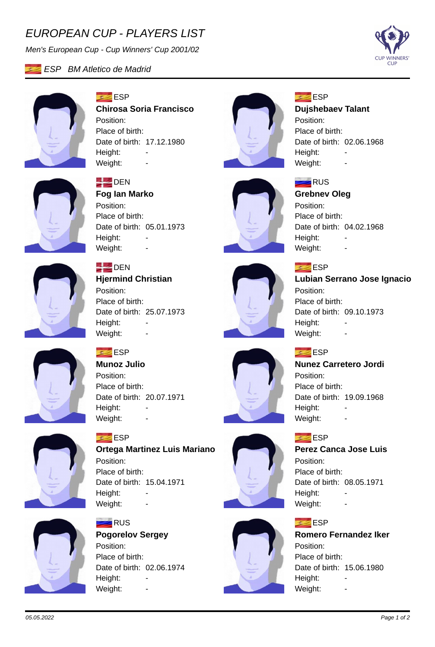# *EUROPEAN CUP - PLAYERS LIST*

*Men's European Cup - Cup Winners' Cup 2001/02*





### **ESP Chirosa Soria Francisco** Position: Place of birth: Date of birth: 17.12.1980 Height: -Weight:



# **ESP**

**RUS** 

Position:

Height:

**Grebnev Oleg**

Place of birth:

Weight: -

### **Dujshebaev Talant**

Position: Place of birth: Date of birth: 02.06.1968 Height: Weight:



## **DEN**

**Fog Ian Marko** Position: Place of birth: Date of birth: 05.01.1973 Height: Weight: -



## **DEN**

**Hjermind Christian** Position: Place of birth: Date of birth: 25.07.1973 Height: Weight: -



## **ESP Lubian Serrano Jose Ignacio** Position: Place of birth:

Date of birth: 04.02.1968

Date of birth: 09.10.1973 Height: Weight: -

## **ESP**

**Nunez Carretero Jordi** Position: Place of birth: Date of birth: 19.09.1968 Height: Weight: -

### **ESP**

**Perez Canca Jose Luis** Position: Place of birth: Date of birth: 08.05.1971 Height: Weight: -

### **ESP**

### **Romero Fernandez Iker** Position: Place of birth: Date of birth: 15.06.1980 Height: Weight: -

# **ESP**

**Munoz Julio** Position: Place of birth: Date of birth: 20.07.1971 Height: -Weight: -



### **ESP Ortega Martinez Luis Mariano** Position: Place of birth: Date of birth: 15.04.1971 Height: Weight: -



# **RUS Pogorelov Sergey**

Position: Place of birth: Date of birth: 02.06.1974 Height: Weight: